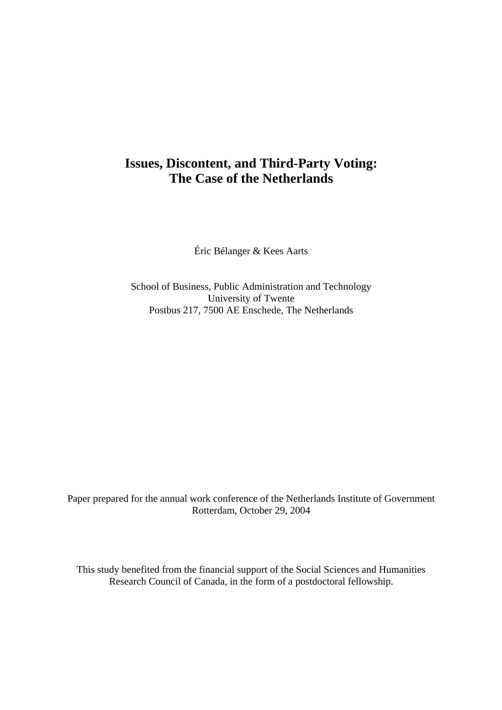# **Issues, Discontent, and Third-Party Voting: The Case of the Netherlands**

Éric Bélanger & Kees Aarts

School of Business, Public Administration and Technology University of Twente Postbus 217, 7500 AE Enschede, The Netherlands

Paper prepared for the annual work conference of the Netherlands Institute of Government Rotterdam, October 29, 2004

This study benefited from the financial support of the Social Sciences and Humanities Research Council of Canada, in the form of a postdoctoral fellowship.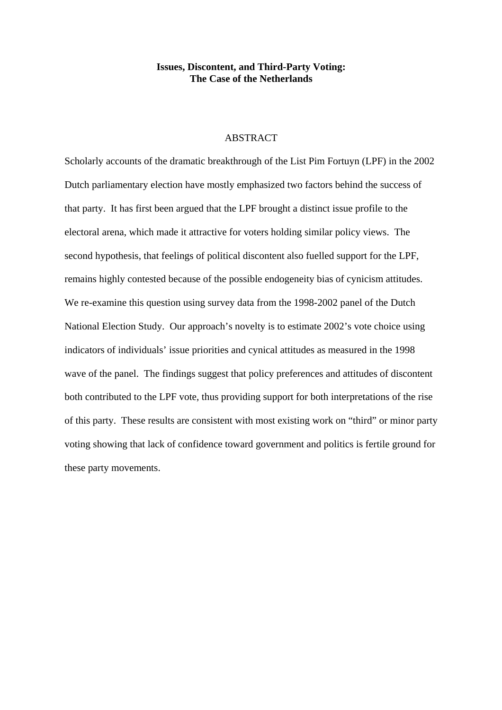# **Issues, Discontent, and Third-Party Voting: The Case of the Netherlands**

# **ABSTRACT**

Scholarly accounts of the dramatic breakthrough of the List Pim Fortuyn (LPF) in the 2002 Dutch parliamentary election have mostly emphasized two factors behind the success of that party. It has first been argued that the LPF brought a distinct issue profile to the electoral arena, which made it attractive for voters holding similar policy views. The second hypothesis, that feelings of political discontent also fuelled support for the LPF, remains highly contested because of the possible endogeneity bias of cynicism attitudes. We re-examine this question using survey data from the 1998-2002 panel of the Dutch National Election Study. Our approach's novelty is to estimate 2002's vote choice using indicators of individuals' issue priorities and cynical attitudes as measured in the 1998 wave of the panel. The findings suggest that policy preferences and attitudes of discontent both contributed to the LPF vote, thus providing support for both interpretations of the rise of this party. These results are consistent with most existing work on "third" or minor party voting showing that lack of confidence toward government and politics is fertile ground for these party movements.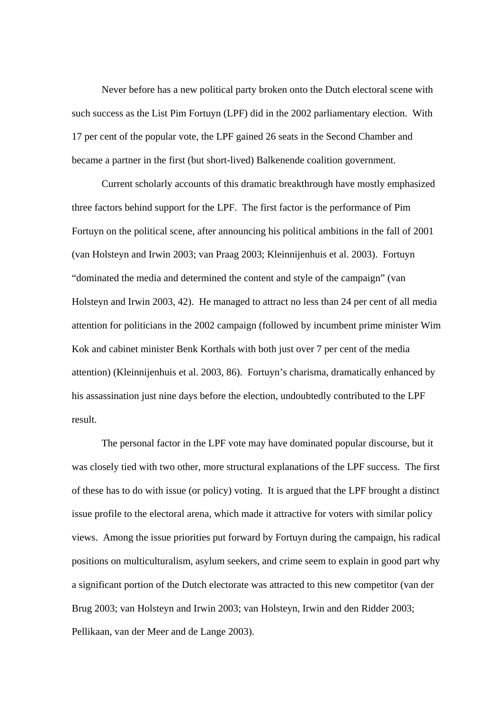Never before has a new political party broken onto the Dutch electoral scene with such success as the List Pim Fortuyn (LPF) did in the 2002 parliamentary election. With 17 per cent of the popular vote, the LPF gained 26 seats in the Second Chamber and became a partner in the first (but short-lived) Balkenende coalition government.

 Current scholarly accounts of this dramatic breakthrough have mostly emphasized three factors behind support for the LPF. The first factor is the performance of Pim Fortuyn on the political scene, after announcing his political ambitions in the fall of 2001 (van Holsteyn and Irwin 2003; van Praag 2003; Kleinnijenhuis et al. 2003). Fortuyn "dominated the media and determined the content and style of the campaign" (van Holsteyn and Irwin 2003, 42). He managed to attract no less than 24 per cent of all media attention for politicians in the 2002 campaign (followed by incumbent prime minister Wim Kok and cabinet minister Benk Korthals with both just over 7 per cent of the media attention) (Kleinnijenhuis et al. 2003, 86). Fortuyn's charisma, dramatically enhanced by his assassination just nine days before the election, undoubtedly contributed to the LPF result.

The personal factor in the LPF vote may have dominated popular discourse, but it was closely tied with two other, more structural explanations of the LPF success. The first of these has to do with issue (or policy) voting. It is argued that the LPF brought a distinct issue profile to the electoral arena, which made it attractive for voters with similar policy views. Among the issue priorities put forward by Fortuyn during the campaign, his radical positions on multiculturalism, asylum seekers, and crime seem to explain in good part why a significant portion of the Dutch electorate was attracted to this new competitor (van der Brug 2003; van Holsteyn and Irwin 2003; van Holsteyn, Irwin and den Ridder 2003; Pellikaan, van der Meer and de Lange 2003).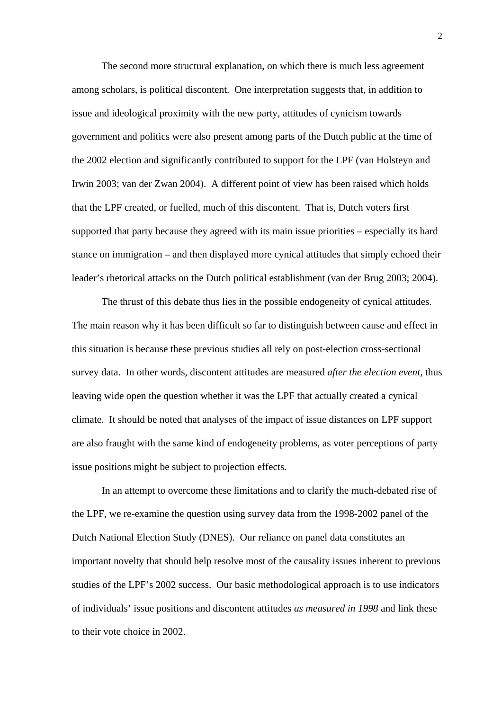The second more structural explanation, on which there is much less agreement among scholars, is political discontent. One interpretation suggests that, in addition to issue and ideological proximity with the new party, attitudes of cynicism towards government and politics were also present among parts of the Dutch public at the time of the 2002 election and significantly contributed to support for the LPF (van Holsteyn and Irwin 2003; van der Zwan 2004). A different point of view has been raised which holds that the LPF created, or fuelled, much of this discontent. That is, Dutch voters first supported that party because they agreed with its main issue priorities – especially its hard stance on immigration – and then displayed more cynical attitudes that simply echoed their leader's rhetorical attacks on the Dutch political establishment (van der Brug 2003; 2004).

 The thrust of this debate thus lies in the possible endogeneity of cynical attitudes. The main reason why it has been difficult so far to distinguish between cause and effect in this situation is because these previous studies all rely on post-election cross-sectional survey data. In other words, discontent attitudes are measured *after the election event*, thus leaving wide open the question whether it was the LPF that actually created a cynical climate. It should be noted that analyses of the impact of issue distances on LPF support are also fraught with the same kind of endogeneity problems, as voter perceptions of party issue positions might be subject to projection effects.

 In an attempt to overcome these limitations and to clarify the much-debated rise of the LPF, we re-examine the question using survey data from the 1998-2002 panel of the Dutch National Election Study (DNES). Our reliance on panel data constitutes an important novelty that should help resolve most of the causality issues inherent to previous studies of the LPF's 2002 success. Our basic methodological approach is to use indicators of individuals' issue positions and discontent attitudes *as measured in 1998* and link these to their vote choice in 2002.

2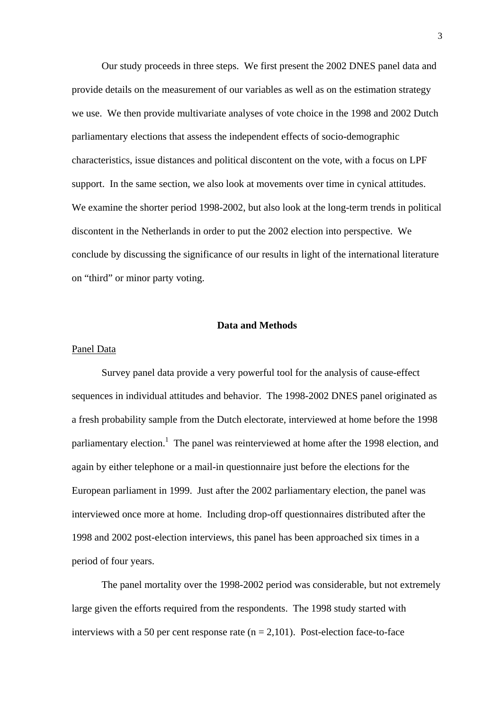Our study proceeds in three steps. We first present the 2002 DNES panel data and provide details on the measurement of our variables as well as on the estimation strategy we use. We then provide multivariate analyses of vote choice in the 1998 and 2002 Dutch parliamentary elections that assess the independent effects of socio-demographic characteristics, issue distances and political discontent on the vote, with a focus on LPF support. In the same section, we also look at movements over time in cynical attitudes. We examine the shorter period 1998-2002, but also look at the long-term trends in political discontent in the Netherlands in order to put the 2002 election into perspective. We conclude by discussing the significance of our results in light of the international literature on "third" or minor party voting.

## **Data and Methods**

## Panel Data

Survey panel data provide a very powerful tool for the analysis of cause-effect sequences in individual attitudes and behavior. The 1998-2002 DNES panel originated as a fresh probability sample from the Dutch electorate, interviewed at home before the 1998 parliamentary election.<sup>1</sup> The panel was reinterviewed at home after the 1998 election, and again by either telephone or a mail-in questionnaire just before the elections for the European parliament in 1999. Just after the 2002 parliamentary election, the panel was interviewed once more at home. Including drop-off questionnaires distributed after the 1998 and 2002 post-election interviews, this panel has been approached six times in a period of four years.

 The panel mortality over the 1998-2002 period was considerable, but not extremely large given the efforts required from the respondents. The 1998 study started with interviews with a 50 per cent response rate  $(n = 2,101)$ . Post-election face-to-face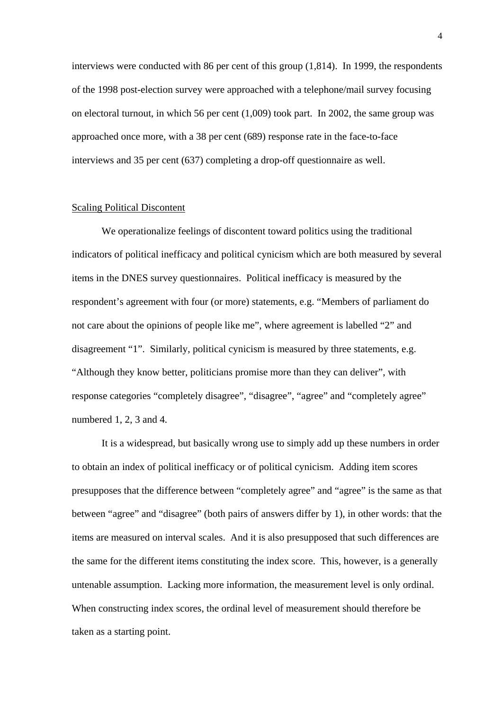interviews were conducted with 86 per cent of this group (1,814). In 1999, the respondents of the 1998 post-election survey were approached with a telephone/mail survey focusing on electoral turnout, in which 56 per cent (1,009) took part. In 2002, the same group was approached once more, with a 38 per cent (689) response rate in the face-to-face interviews and 35 per cent (637) completing a drop-off questionnaire as well.

## Scaling Political Discontent

 We operationalize feelings of discontent toward politics using the traditional indicators of political inefficacy and political cynicism which are both measured by several items in the DNES survey questionnaires. Political inefficacy is measured by the respondent's agreement with four (or more) statements, e.g. "Members of parliament do not care about the opinions of people like me", where agreement is labelled "2" and disagreement "1". Similarly, political cynicism is measured by three statements, e.g. "Although they know better, politicians promise more than they can deliver", with response categories "completely disagree", "disagree", "agree" and "completely agree" numbered 1, 2, 3 and 4.

 It is a widespread, but basically wrong use to simply add up these numbers in order to obtain an index of political inefficacy or of political cynicism. Adding item scores presupposes that the difference between "completely agree" and "agree" is the same as that between "agree" and "disagree" (both pairs of answers differ by 1), in other words: that the items are measured on interval scales. And it is also presupposed that such differences are the same for the different items constituting the index score. This, however, is a generally untenable assumption. Lacking more information, the measurement level is only ordinal. When constructing index scores, the ordinal level of measurement should therefore be taken as a starting point.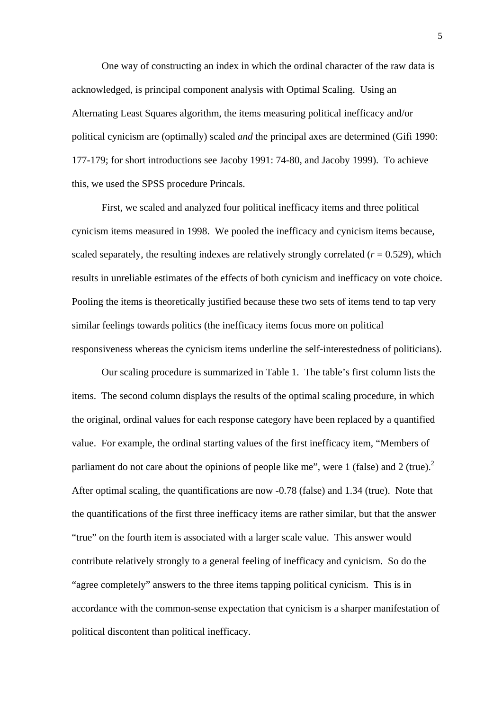One way of constructing an index in which the ordinal character of the raw data is acknowledged, is principal component analysis with Optimal Scaling. Using an Alternating Least Squares algorithm, the items measuring political inefficacy and/or political cynicism are (optimally) scaled *and* the principal axes are determined (Gifi 1990: 177-179; for short introductions see Jacoby 1991: 74-80, and Jacoby 1999). To achieve this, we used the SPSS procedure Princals.

 First, we scaled and analyzed four political inefficacy items and three political cynicism items measured in 1998. We pooled the inefficacy and cynicism items because, scaled separately, the resulting indexes are relatively strongly correlated  $(r = 0.529)$ , which results in unreliable estimates of the effects of both cynicism and inefficacy on vote choice. Pooling the items is theoretically justified because these two sets of items tend to tap very similar feelings towards politics (the inefficacy items focus more on political responsiveness whereas the cynicism items underline the self-interestedness of politicians).

Our scaling procedure is summarized in Table 1. The table's first column lists the items. The second column displays the results of the optimal scaling procedure, in which the original, ordinal values for each response category have been replaced by a quantified value. For example, the ordinal starting values of the first inefficacy item, "Members of parliament do not care about the opinions of people like me", were 1 (false) and 2 (true).<sup>2</sup> After optimal scaling, the quantifications are now -0.78 (false) and 1.34 (true). Note that the quantifications of the first three inefficacy items are rather similar, but that the answer "true" on the fourth item is associated with a larger scale value. This answer would contribute relatively strongly to a general feeling of inefficacy and cynicism. So do the "agree completely" answers to the three items tapping political cynicism. This is in accordance with the common-sense expectation that cynicism is a sharper manifestation of political discontent than political inefficacy.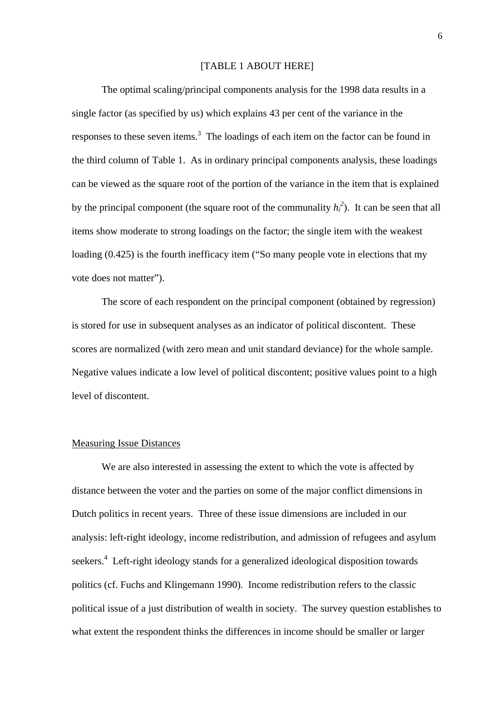#### [TABLE 1 ABOUT HERE]

The optimal scaling/principal components analysis for the 1998 data results in a single factor (as specified by us) which explains 43 per cent of the variance in the responses to these seven items.<sup>3</sup> The loadings of each item on the factor can be found in the third column of Table 1. As in ordinary principal components analysis, these loadings can be viewed as the square root of the portion of the variance in the item that is explained by the principal component (the square root of the communality  $h_i^2$ ). It can be seen that all items show moderate to strong loadings on the factor; the single item with the weakest loading (0.425) is the fourth inefficacy item ("So many people vote in elections that my vote does not matter").

The score of each respondent on the principal component (obtained by regression) is stored for use in subsequent analyses as an indicator of political discontent. These scores are normalized (with zero mean and unit standard deviance) for the whole sample. Negative values indicate a low level of political discontent; positive values point to a high level of discontent.

## Measuring Issue Distances

 We are also interested in assessing the extent to which the vote is affected by distance between the voter and the parties on some of the major conflict dimensions in Dutch politics in recent years. Three of these issue dimensions are included in our analysis: left-right ideology, income redistribution, and admission of refugees and asylum seekers.<sup>4</sup> Left-right ideology stands for a generalized ideological disposition towards politics (cf. Fuchs and Klingemann 1990). Income redistribution refers to the classic political issue of a just distribution of wealth in society. The survey question establishes to what extent the respondent thinks the differences in income should be smaller or larger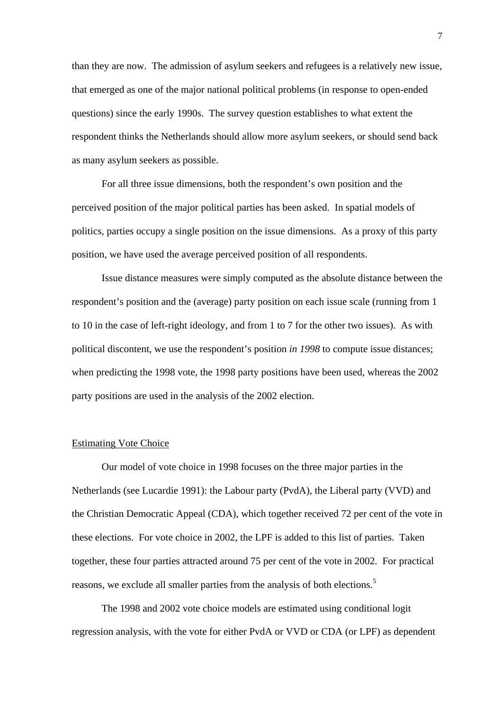than they are now. The admission of asylum seekers and refugees is a relatively new issue, that emerged as one of the major national political problems (in response to open-ended questions) since the early 1990s. The survey question establishes to what extent the respondent thinks the Netherlands should allow more asylum seekers, or should send back as many asylum seekers as possible.

For all three issue dimensions, both the respondent's own position and the perceived position of the major political parties has been asked. In spatial models of politics, parties occupy a single position on the issue dimensions. As a proxy of this party position, we have used the average perceived position of all respondents.

Issue distance measures were simply computed as the absolute distance between the respondent's position and the (average) party position on each issue scale (running from 1 to 10 in the case of left-right ideology, and from 1 to 7 for the other two issues). As with political discontent, we use the respondent's position *in 1998* to compute issue distances; when predicting the 1998 vote, the 1998 party positions have been used, whereas the 2002 party positions are used in the analysis of the 2002 election.

## Estimating Vote Choice

 Our model of vote choice in 1998 focuses on the three major parties in the Netherlands (see Lucardie 1991): the Labour party (PvdA), the Liberal party (VVD) and the Christian Democratic Appeal (CDA), which together received 72 per cent of the vote in these elections. For vote choice in 2002, the LPF is added to this list of parties. Taken together, these four parties attracted around 75 per cent of the vote in 2002. For practical reasons, we exclude all smaller parties from the analysis of both elections.<sup>5</sup>

 The 1998 and 2002 vote choice models are estimated using conditional logit regression analysis, with the vote for either PvdA or VVD or CDA (or LPF) as dependent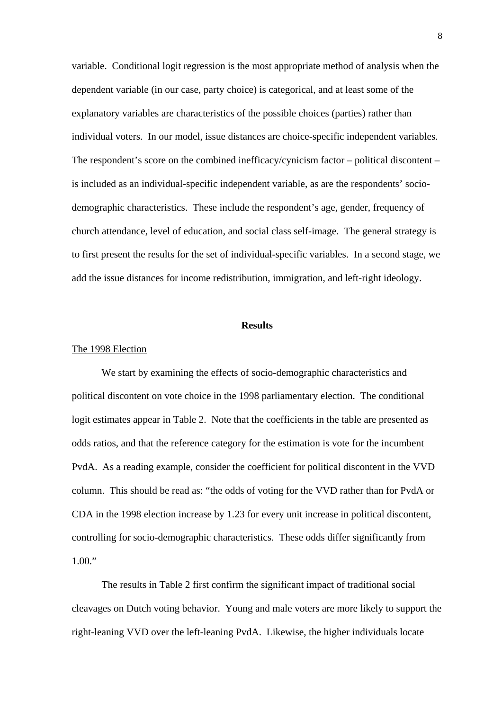variable. Conditional logit regression is the most appropriate method of analysis when the dependent variable (in our case, party choice) is categorical, and at least some of the explanatory variables are characteristics of the possible choices (parties) rather than individual voters. In our model, issue distances are choice-specific independent variables. The respondent's score on the combined inefficacy/cynicism factor – political discontent – is included as an individual-specific independent variable, as are the respondents' sociodemographic characteristics. These include the respondent's age, gender, frequency of church attendance, level of education, and social class self-image. The general strategy is to first present the results for the set of individual-specific variables. In a second stage, we add the issue distances for income redistribution, immigration, and left-right ideology.

# **Results**

#### The 1998 Election

 We start by examining the effects of socio-demographic characteristics and political discontent on vote choice in the 1998 parliamentary election. The conditional logit estimates appear in Table 2. Note that the coefficients in the table are presented as odds ratios, and that the reference category for the estimation is vote for the incumbent PvdA. As a reading example, consider the coefficient for political discontent in the VVD column. This should be read as: "the odds of voting for the VVD rather than for PvdA or CDA in the 1998 election increase by 1.23 for every unit increase in political discontent, controlling for socio-demographic characteristics. These odds differ significantly from  $1.00$ ."

The results in Table 2 first confirm the significant impact of traditional social cleavages on Dutch voting behavior. Young and male voters are more likely to support the right-leaning VVD over the left-leaning PvdA. Likewise, the higher individuals locate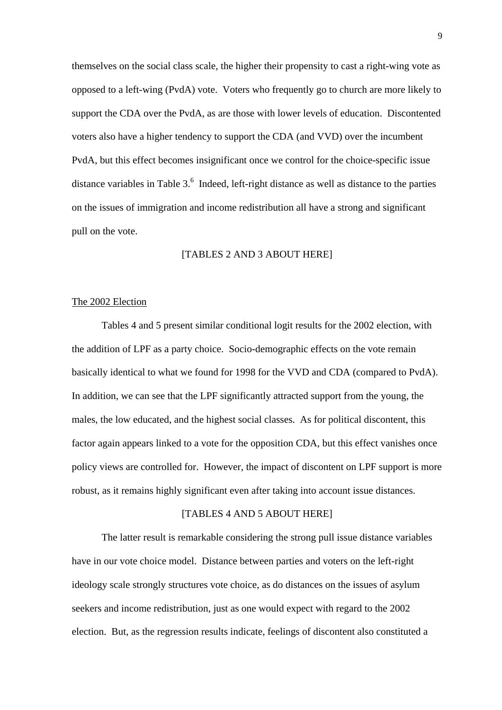themselves on the social class scale, the higher their propensity to cast a right-wing vote as opposed to a left-wing (PvdA) vote. Voters who frequently go to church are more likely to support the CDA over the PvdA, as are those with lower levels of education. Discontented voters also have a higher tendency to support the CDA (and VVD) over the incumbent PvdA, but this effect becomes insignificant once we control for the choice-specific issue distance variables in Table  $3<sup>6</sup>$  Indeed, left-right distance as well as distance to the parties on the issues of immigration and income redistribution all have a strong and significant pull on the vote.

## [TABLES 2 AND 3 ABOUT HERE]

## The 2002 Election

 Tables 4 and 5 present similar conditional logit results for the 2002 election, with the addition of LPF as a party choice. Socio-demographic effects on the vote remain basically identical to what we found for 1998 for the VVD and CDA (compared to PvdA). In addition, we can see that the LPF significantly attracted support from the young, the males, the low educated, and the highest social classes. As for political discontent, this factor again appears linked to a vote for the opposition CDA, but this effect vanishes once policy views are controlled for. However, the impact of discontent on LPF support is more robust, as it remains highly significant even after taking into account issue distances.

## [TABLES 4 AND 5 ABOUT HERE]

 The latter result is remarkable considering the strong pull issue distance variables have in our vote choice model. Distance between parties and voters on the left-right ideology scale strongly structures vote choice, as do distances on the issues of asylum seekers and income redistribution, just as one would expect with regard to the 2002 election. But, as the regression results indicate, feelings of discontent also constituted a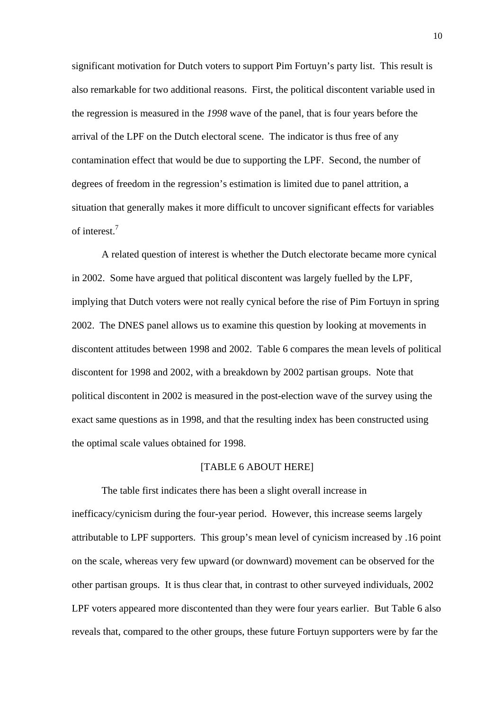significant motivation for Dutch voters to support Pim Fortuyn's party list. This result is also remarkable for two additional reasons. First, the political discontent variable used in the regression is measured in the *1998* wave of the panel, that is four years before the arrival of the LPF on the Dutch electoral scene. The indicator is thus free of any contamination effect that would be due to supporting the LPF. Second, the number of degrees of freedom in the regression's estimation is limited due to panel attrition, a situation that generally makes it more difficult to uncover significant effects for variables of interest.<sup>7</sup>

 A related question of interest is whether the Dutch electorate became more cynical in 2002. Some have argued that political discontent was largely fuelled by the LPF, implying that Dutch voters were not really cynical before the rise of Pim Fortuyn in spring 2002. The DNES panel allows us to examine this question by looking at movements in discontent attitudes between 1998 and 2002. Table 6 compares the mean levels of political discontent for 1998 and 2002, with a breakdown by 2002 partisan groups. Note that political discontent in 2002 is measured in the post-election wave of the survey using the exact same questions as in 1998, and that the resulting index has been constructed using the optimal scale values obtained for 1998.

# [TABLE 6 ABOUT HERE]

 The table first indicates there has been a slight overall increase in inefficacy/cynicism during the four-year period. However, this increase seems largely attributable to LPF supporters. This group's mean level of cynicism increased by .16 point on the scale, whereas very few upward (or downward) movement can be observed for the other partisan groups. It is thus clear that, in contrast to other surveyed individuals, 2002 LPF voters appeared more discontented than they were four years earlier. But Table 6 also reveals that, compared to the other groups, these future Fortuyn supporters were by far the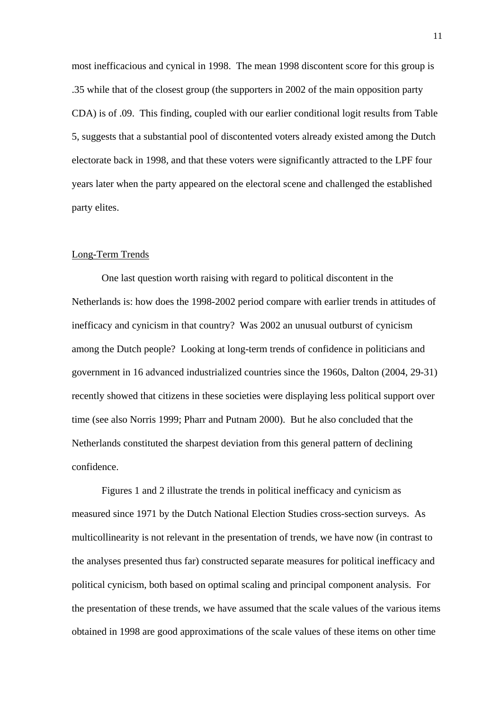most inefficacious and cynical in 1998. The mean 1998 discontent score for this group is .35 while that of the closest group (the supporters in 2002 of the main opposition party CDA) is of .09. This finding, coupled with our earlier conditional logit results from Table 5, suggests that a substantial pool of discontented voters already existed among the Dutch electorate back in 1998, and that these voters were significantly attracted to the LPF four years later when the party appeared on the electoral scene and challenged the established party elites.

## Long-Term Trends

 One last question worth raising with regard to political discontent in the Netherlands is: how does the 1998-2002 period compare with earlier trends in attitudes of inefficacy and cynicism in that country? Was 2002 an unusual outburst of cynicism among the Dutch people? Looking at long-term trends of confidence in politicians and government in 16 advanced industrialized countries since the 1960s, Dalton (2004, 29-31) recently showed that citizens in these societies were displaying less political support over time (see also Norris 1999; Pharr and Putnam 2000). But he also concluded that the Netherlands constituted the sharpest deviation from this general pattern of declining confidence.

 Figures 1 and 2 illustrate the trends in political inefficacy and cynicism as measured since 1971 by the Dutch National Election Studies cross-section surveys. As multicollinearity is not relevant in the presentation of trends, we have now (in contrast to the analyses presented thus far) constructed separate measures for political inefficacy and political cynicism, both based on optimal scaling and principal component analysis. For the presentation of these trends, we have assumed that the scale values of the various items obtained in 1998 are good approximations of the scale values of these items on other time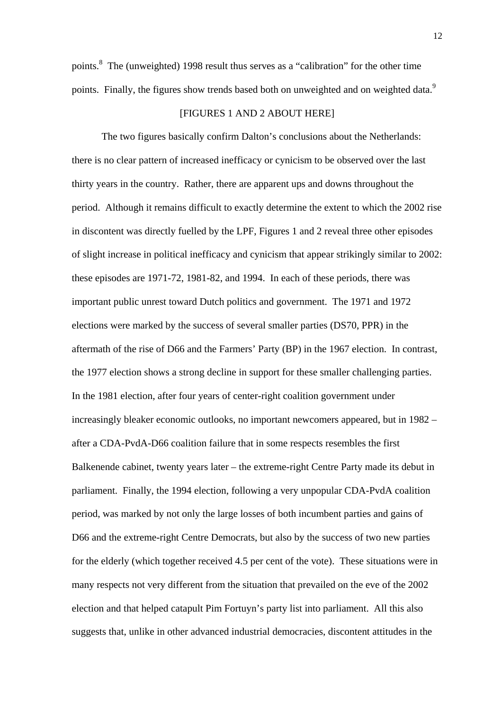points.<sup>8</sup> The (unweighted) 1998 result thus serves as a "calibration" for the other time points. Finally, the figures show trends based both on unweighted and on weighted data.<sup>9</sup>

#### [FIGURES 1 AND 2 ABOUT HERE]

The two figures basically confirm Dalton's conclusions about the Netherlands: there is no clear pattern of increased inefficacy or cynicism to be observed over the last thirty years in the country. Rather, there are apparent ups and downs throughout the period. Although it remains difficult to exactly determine the extent to which the 2002 rise in discontent was directly fuelled by the LPF, Figures 1 and 2 reveal three other episodes of slight increase in political inefficacy and cynicism that appear strikingly similar to 2002: these episodes are 1971-72, 1981-82, and 1994. In each of these periods, there was important public unrest toward Dutch politics and government. The 1971 and 1972 elections were marked by the success of several smaller parties (DS70, PPR) in the aftermath of the rise of D66 and the Farmers' Party (BP) in the 1967 election. In contrast, the 1977 election shows a strong decline in support for these smaller challenging parties. In the 1981 election, after four years of center-right coalition government under increasingly bleaker economic outlooks, no important newcomers appeared, but in 1982 – after a CDA-PvdA-D66 coalition failure that in some respects resembles the first Balkenende cabinet, twenty years later – the extreme-right Centre Party made its debut in parliament. Finally, the 1994 election, following a very unpopular CDA-PvdA coalition period, was marked by not only the large losses of both incumbent parties and gains of D66 and the extreme-right Centre Democrats, but also by the success of two new parties for the elderly (which together received 4.5 per cent of the vote). These situations were in many respects not very different from the situation that prevailed on the eve of the 2002 election and that helped catapult Pim Fortuyn's party list into parliament. All this also suggests that, unlike in other advanced industrial democracies, discontent attitudes in the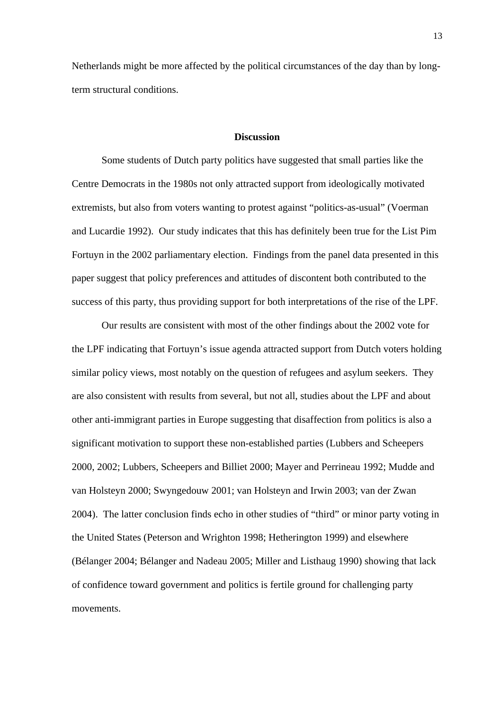Netherlands might be more affected by the political circumstances of the day than by longterm structural conditions.

## **Discussion**

 Some students of Dutch party politics have suggested that small parties like the Centre Democrats in the 1980s not only attracted support from ideologically motivated extremists, but also from voters wanting to protest against "politics-as-usual" (Voerman and Lucardie 1992). Our study indicates that this has definitely been true for the List Pim Fortuyn in the 2002 parliamentary election. Findings from the panel data presented in this paper suggest that policy preferences and attitudes of discontent both contributed to the success of this party, thus providing support for both interpretations of the rise of the LPF.

 Our results are consistent with most of the other findings about the 2002 vote for the LPF indicating that Fortuyn's issue agenda attracted support from Dutch voters holding similar policy views, most notably on the question of refugees and asylum seekers. They are also consistent with results from several, but not all, studies about the LPF and about other anti-immigrant parties in Europe suggesting that disaffection from politics is also a significant motivation to support these non-established parties (Lubbers and Scheepers 2000, 2002; Lubbers, Scheepers and Billiet 2000; Mayer and Perrineau 1992; Mudde and van Holsteyn 2000; Swyngedouw 2001; van Holsteyn and Irwin 2003; van der Zwan 2004). The latter conclusion finds echo in other studies of "third" or minor party voting in the United States (Peterson and Wrighton 1998; Hetherington 1999) and elsewhere (Bélanger 2004; Bélanger and Nadeau 2005; Miller and Listhaug 1990) showing that lack of confidence toward government and politics is fertile ground for challenging party movements.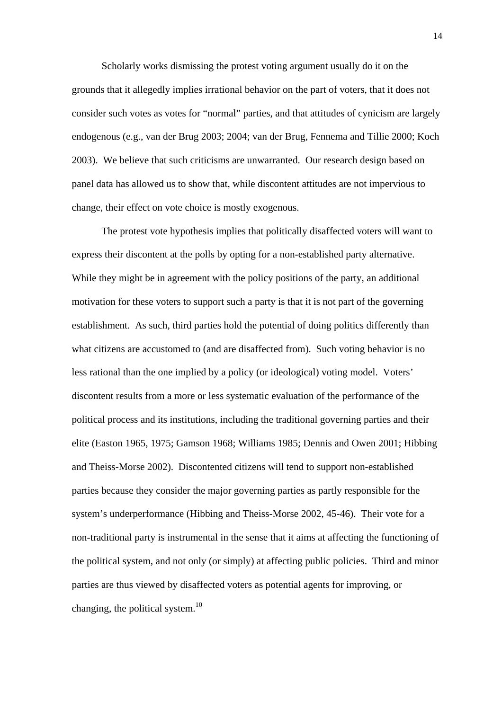Scholarly works dismissing the protest voting argument usually do it on the grounds that it allegedly implies irrational behavior on the part of voters, that it does not consider such votes as votes for "normal" parties, and that attitudes of cynicism are largely endogenous (e.g., van der Brug 2003; 2004; van der Brug, Fennema and Tillie 2000; Koch 2003). We believe that such criticisms are unwarranted. Our research design based on panel data has allowed us to show that, while discontent attitudes are not impervious to change, their effect on vote choice is mostly exogenous.

 The protest vote hypothesis implies that politically disaffected voters will want to express their discontent at the polls by opting for a non-established party alternative. While they might be in agreement with the policy positions of the party, an additional motivation for these voters to support such a party is that it is not part of the governing establishment. As such, third parties hold the potential of doing politics differently than what citizens are accustomed to (and are disaffected from). Such voting behavior is no less rational than the one implied by a policy (or ideological) voting model. Voters' discontent results from a more or less systematic evaluation of the performance of the political process and its institutions, including the traditional governing parties and their elite (Easton 1965, 1975; Gamson 1968; Williams 1985; Dennis and Owen 2001; Hibbing and Theiss-Morse 2002). Discontented citizens will tend to support non-established parties because they consider the major governing parties as partly responsible for the system's underperformance (Hibbing and Theiss-Morse 2002, 45-46). Their vote for a non-traditional party is instrumental in the sense that it aims at affecting the functioning of the political system, and not only (or simply) at affecting public policies. Third and minor parties are thus viewed by disaffected voters as potential agents for improving, or changing, the political system.<sup>10</sup>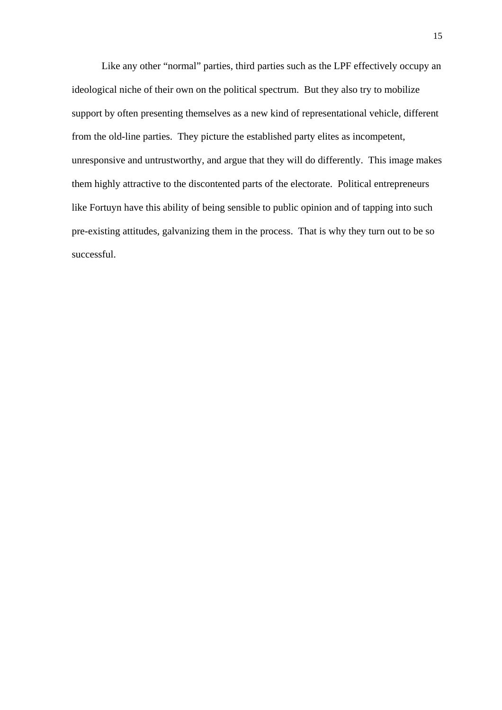Like any other "normal" parties, third parties such as the LPF effectively occupy an ideological niche of their own on the political spectrum. But they also try to mobilize support by often presenting themselves as a new kind of representational vehicle, different from the old-line parties. They picture the established party elites as incompetent, unresponsive and untrustworthy, and argue that they will do differently. This image makes them highly attractive to the discontented parts of the electorate. Political entrepreneurs like Fortuyn have this ability of being sensible to public opinion and of tapping into such pre-existing attitudes, galvanizing them in the process. That is why they turn out to be so successful.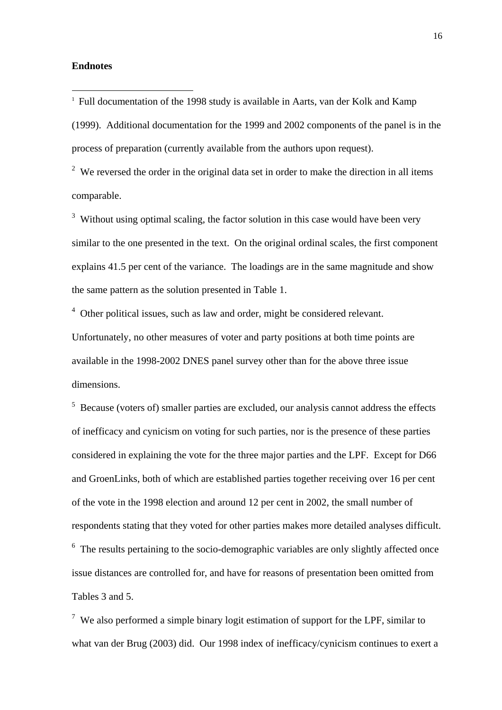## **Endnotes**

 $\overline{a}$ 

<sup>1</sup> Full documentation of the 1998 study is available in Aarts, van der Kolk and Kamp (1999). Additional documentation for the 1999 and 2002 components of the panel is in the process of preparation (currently available from the authors upon request).

<sup>2</sup> We reversed the order in the original data set in order to make the direction in all items comparable.

 $3$  Without using optimal scaling, the factor solution in this case would have been very similar to the one presented in the text. On the original ordinal scales, the first component explains 41.5 per cent of the variance. The loadings are in the same magnitude and show the same pattern as the solution presented in Table 1.

 $4$  Other political issues, such as law and order, might be considered relevant. Unfortunately, no other measures of voter and party positions at both time points are available in the 1998-2002 DNES panel survey other than for the above three issue dimensions.

<sup>5</sup> Because (voters of) smaller parties are excluded, our analysis cannot address the effects of inefficacy and cynicism on voting for such parties, nor is the presence of these parties considered in explaining the vote for the three major parties and the LPF. Except for D66 and GroenLinks, both of which are established parties together receiving over 16 per cent of the vote in the 1998 election and around 12 per cent in 2002, the small number of respondents stating that they voted for other parties makes more detailed analyses difficult.  $6\,$  The results pertaining to the socio-demographic variables are only slightly affected once issue distances are controlled for, and have for reasons of presentation been omitted from Tables 3 and 5.

<sup>7</sup> We also performed a simple binary logit estimation of support for the LPF, similar to what van der Brug (2003) did. Our 1998 index of inefficacy/cynicism continues to exert a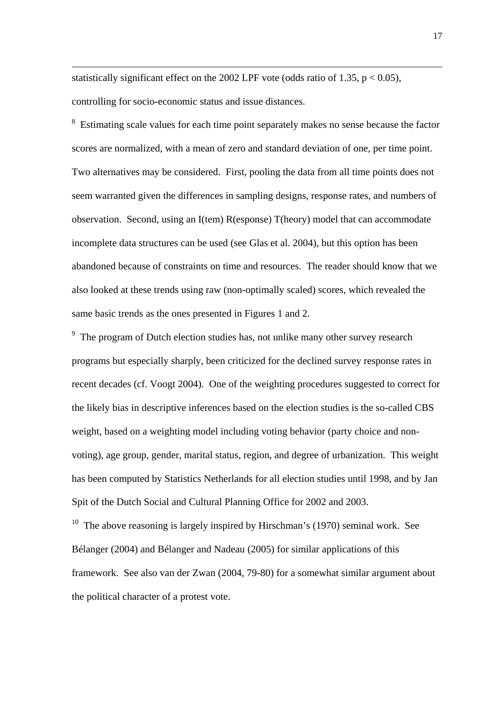statistically significant effect on the 2002 LPF vote (odds ratio of 1.35,  $p < 0.05$ ), controlling for socio-economic status and issue distances.

1

<sup>8</sup> Estimating scale values for each time point separately makes no sense because the factor scores are normalized, with a mean of zero and standard deviation of one, per time point. Two alternatives may be considered. First, pooling the data from all time points does not seem warranted given the differences in sampling designs, response rates, and numbers of observation. Second, using an I(tem) R(esponse) T(heory) model that can accommodate incomplete data structures can be used (see Glas et al. 2004), but this option has been abandoned because of constraints on time and resources. The reader should know that we also looked at these trends using raw (non-optimally scaled) scores, which revealed the same basic trends as the ones presented in Figures 1 and 2.

<sup>9</sup> The program of Dutch election studies has, not unlike many other survey research programs but especially sharply, been criticized for the declined survey response rates in recent decades (cf. Voogt 2004). One of the weighting procedures suggested to correct for the likely bias in descriptive inferences based on the election studies is the so-called CBS weight, based on a weighting model including voting behavior (party choice and nonvoting), age group, gender, marital status, region, and degree of urbanization. This weight has been computed by Statistics Netherlands for all election studies until 1998, and by Jan Spit of the Dutch Social and Cultural Planning Office for 2002 and 2003.

<sup>10</sup> The above reasoning is largely inspired by Hirschman's (1970) seminal work. See Bélanger (2004) and Bélanger and Nadeau (2005) for similar applications of this framework. See also van der Zwan (2004, 79-80) for a somewhat similar argument about the political character of a protest vote.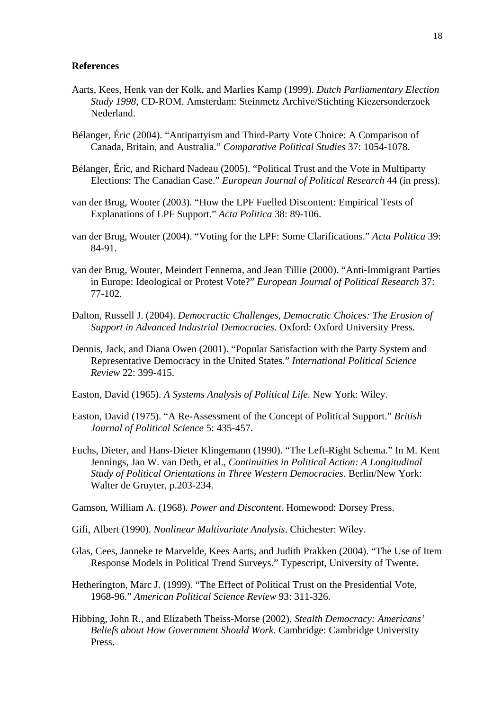#### **References**

- Aarts, Kees, Henk van der Kolk, and Marlies Kamp (1999). *Dutch Parliamentary Election Study 1998*, CD-ROM. Amsterdam: Steinmetz Archive/Stichting Kiezersonderzoek Nederland.
- Bélanger, Éric (2004). "Antipartyism and Third-Party Vote Choice: A Comparison of Canada, Britain, and Australia." *Comparative Political Studies* 37: 1054-1078.
- Bélanger, Éric, and Richard Nadeau (2005). "Political Trust and the Vote in Multiparty Elections: The Canadian Case." *European Journal of Political Research* 44 (in press).
- van der Brug, Wouter (2003). "How the LPF Fuelled Discontent: Empirical Tests of Explanations of LPF Support." *Acta Politica* 38: 89-106.
- van der Brug, Wouter (2004). "Voting for the LPF: Some Clarifications." *Acta Politica* 39: 84-91.
- van der Brug, Wouter, Meindert Fennema, and Jean Tillie (2000). "Anti-Immigrant Parties in Europe: Ideological or Protest Vote?" *European Journal of Political Research* 37: 77-102.
- Dalton, Russell J. (2004). *Democractic Challenges, Democratic Choices: The Erosion of Support in Advanced Industrial Democracies*. Oxford: Oxford University Press.
- Dennis, Jack, and Diana Owen (2001). "Popular Satisfaction with the Party System and Representative Democracy in the United States." *International Political Science Review* 22: 399-415.
- Easton, David (1965). *A Systems Analysis of Political Life*. New York: Wiley.
- Easton, David (1975). "A Re-Assessment of the Concept of Political Support." *British Journal of Political Science* 5: 435-457.
- Fuchs, Dieter, and Hans-Dieter Klingemann (1990). "The Left-Right Schema." In M. Kent Jennings, Jan W. van Deth, et al., *Continuities in Political Action: A Longitudinal Study of Political Orientations in Three Western Democracies*. Berlin/New York: Walter de Gruyter, p.203-234.
- Gamson, William A. (1968). *Power and Discontent*. Homewood: Dorsey Press.
- Gifi, Albert (1990). *Nonlinear Multivariate Analysis*. Chichester: Wiley.
- Glas, Cees, Janneke te Marvelde, Kees Aarts, and Judith Prakken (2004). "The Use of Item Response Models in Political Trend Surveys." Typescript, University of Twente.
- Hetherington, Marc J. (1999). "The Effect of Political Trust on the Presidential Vote, 1968-96." *American Political Science Review* 93: 311-326.
- Hibbing, John R., and Elizabeth Theiss-Morse (2002). *Stealth Democracy: Americans' Beliefs about How Government Should Work*. Cambridge: Cambridge University Press.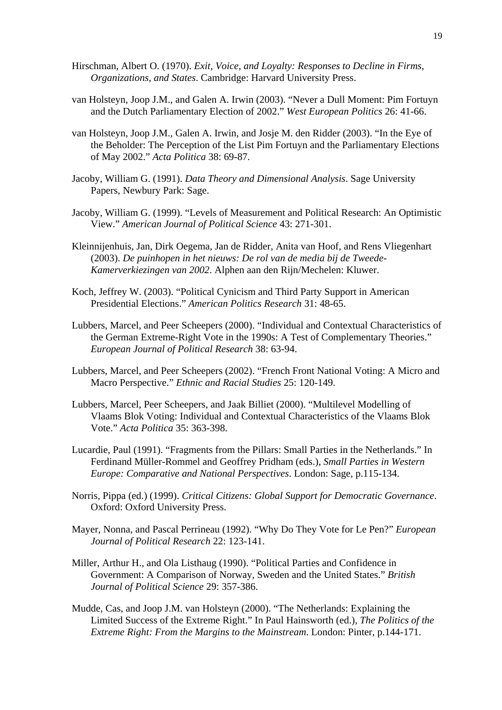- Hirschman, Albert O. (1970). *Exit, Voice, and Loyalty: Responses to Decline in Firms, Organizations, and States*. Cambridge: Harvard University Press.
- van Holsteyn, Joop J.M., and Galen A. Irwin (2003). "Never a Dull Moment: Pim Fortuyn and the Dutch Parliamentary Election of 2002." *West European Politics* 26: 41-66.
- van Holsteyn, Joop J.M., Galen A. Irwin, and Josje M. den Ridder (2003). "In the Eye of the Beholder: The Perception of the List Pim Fortuyn and the Parliamentary Elections of May 2002." *Acta Politica* 38: 69-87.
- Jacoby, William G. (1991). *Data Theory and Dimensional Analysis*. Sage University Papers, Newbury Park: Sage.
- Jacoby, William G. (1999). "Levels of Measurement and Political Research: An Optimistic View." *American Journal of Political Science* 43: 271-301.
- Kleinnijenhuis, Jan, Dirk Oegema, Jan de Ridder, Anita van Hoof, and Rens Vliegenhart (2003). *De puinhopen in het nieuws: De rol van de media bij de Tweede-Kamerverkiezingen van 2002*. Alphen aan den Rijn/Mechelen: Kluwer.
- Koch, Jeffrey W. (2003). "Political Cynicism and Third Party Support in American Presidential Elections." *American Politics Research* 31: 48-65.
- Lubbers, Marcel, and Peer Scheepers (2000). "Individual and Contextual Characteristics of the German Extreme-Right Vote in the 1990s: A Test of Complementary Theories." *European Journal of Political Research* 38: 63-94.
- Lubbers, Marcel, and Peer Scheepers (2002). "French Front National Voting: A Micro and Macro Perspective." *Ethnic and Racial Studies* 25: 120-149.
- Lubbers, Marcel, Peer Scheepers, and Jaak Billiet (2000). "Multilevel Modelling of Vlaams Blok Voting: Individual and Contextual Characteristics of the Vlaams Blok Vote." *Acta Politica* 35: 363-398.
- Lucardie, Paul (1991). "Fragments from the Pillars: Small Parties in the Netherlands." In Ferdinand Müller-Rommel and Geoffrey Pridham (eds.), *Small Parties in Western Europe: Comparative and National Perspectives*. London: Sage, p.115-134.
- Norris, Pippa (ed.) (1999). *Critical Citizens: Global Support for Democratic Governance*. Oxford: Oxford University Press.
- Mayer, Nonna, and Pascal Perrineau (1992). "Why Do They Vote for Le Pen?" *European Journal of Political Research* 22: 123-141.
- Miller, Arthur H., and Ola Listhaug (1990). "Political Parties and Confidence in Government: A Comparison of Norway, Sweden and the United States." *British Journal of Political Science* 29: 357-386.
- Mudde, Cas, and Joop J.M. van Holsteyn (2000). "The Netherlands: Explaining the Limited Success of the Extreme Right." In Paul Hainsworth (ed.), *The Politics of the Extreme Right: From the Margins to the Mainstream*. London: Pinter, p.144-171.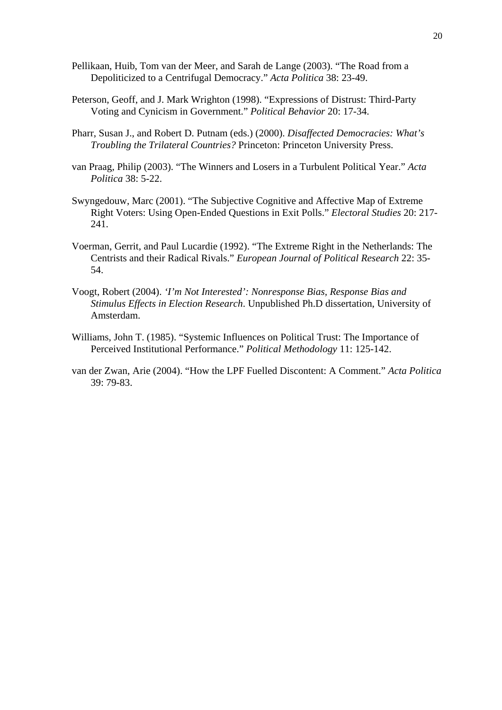- Pellikaan, Huib, Tom van der Meer, and Sarah de Lange (2003). "The Road from a Depoliticized to a Centrifugal Democracy." *Acta Politica* 38: 23-49.
- Peterson, Geoff, and J. Mark Wrighton (1998). "Expressions of Distrust: Third-Party Voting and Cynicism in Government." *Political Behavior* 20: 17-34.
- Pharr, Susan J., and Robert D. Putnam (eds.) (2000). *Disaffected Democracies: What's Troubling the Trilateral Countries?* Princeton: Princeton University Press.
- van Praag, Philip (2003). "The Winners and Losers in a Turbulent Political Year." *Acta Politica* 38: 5-22.
- Swyngedouw, Marc (2001). "The Subjective Cognitive and Affective Map of Extreme Right Voters: Using Open-Ended Questions in Exit Polls." *Electoral Studies* 20: 217- 241.
- Voerman, Gerrit, and Paul Lucardie (1992). "The Extreme Right in the Netherlands: The Centrists and their Radical Rivals." *European Journal of Political Research* 22: 35- 54.
- Voogt, Robert (2004). *'I'm Not Interested': Nonresponse Bias, Response Bias and Stimulus Effects in Election Research*. Unpublished Ph.D dissertation, University of Amsterdam.
- Williams, John T. (1985). "Systemic Influences on Political Trust: The Importance of Perceived Institutional Performance." *Political Methodology* 11: 125-142.
- van der Zwan, Arie (2004). "How the LPF Fuelled Discontent: A Comment." *Acta Politica* 39: 79-83.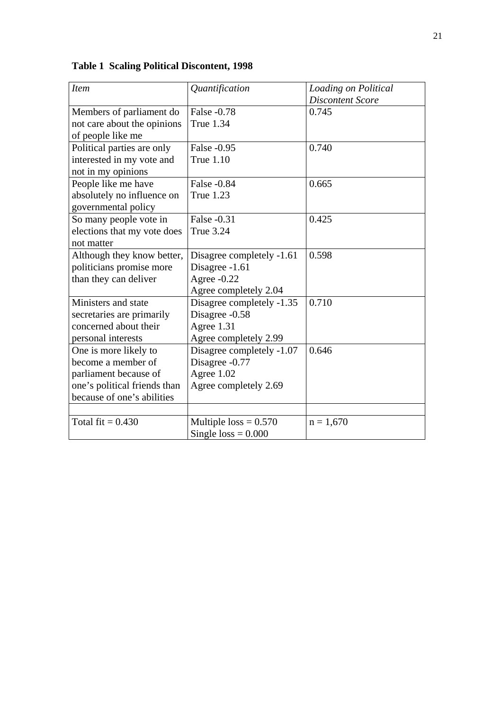| <b>Item</b>                  | Quantification            | Loading on Political    |
|------------------------------|---------------------------|-------------------------|
|                              |                           | <b>Discontent Score</b> |
| Members of parliament do     | False -0.78               | 0.745                   |
| not care about the opinions  | <b>True 1.34</b>          |                         |
| of people like me            |                           |                         |
| Political parties are only   | False -0.95               | 0.740                   |
| interested in my vote and    | <b>True 1.10</b>          |                         |
| not in my opinions           |                           |                         |
| People like me have          | False -0.84               | 0.665                   |
| absolutely no influence on   | <b>True 1.23</b>          |                         |
| governmental policy          |                           |                         |
| So many people vote in       | False -0.31               | 0.425                   |
| elections that my vote does  | <b>True 3.24</b>          |                         |
| not matter                   |                           |                         |
| Although they know better,   | Disagree completely -1.61 | 0.598                   |
| politicians promise more     | Disagree -1.61            |                         |
| than they can deliver        | Agree -0.22               |                         |
|                              | Agree completely 2.04     |                         |
| Ministers and state          | Disagree completely -1.35 | 0.710                   |
| secretaries are primarily    | Disagree -0.58            |                         |
| concerned about their        | Agree 1.31                |                         |
| personal interests           | Agree completely 2.99     |                         |
| One is more likely to        | Disagree completely -1.07 | 0.646                   |
| become a member of           | Disagree -0.77            |                         |
| parliament because of        | Agree 1.02                |                         |
| one's political friends than | Agree completely 2.69     |                         |
| because of one's abilities   |                           |                         |
|                              |                           |                         |
| Total fit $= 0.430$          | Multiple $loss = 0.570$   | $n = 1,670$             |
|                              | Single $loss = 0.000$     |                         |

**Table 1 Scaling Political Discontent, 1998**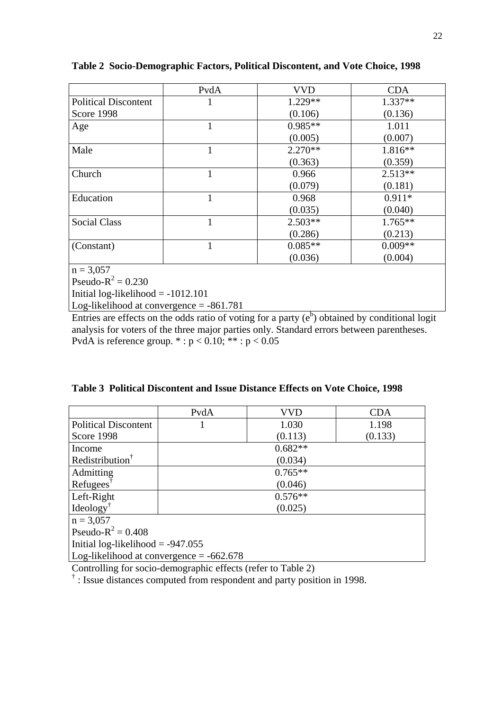|                             | PvdA | <b>VVD</b> | <b>CDA</b> |
|-----------------------------|------|------------|------------|
| <b>Political Discontent</b> |      | $1.229**$  | $1.337**$  |
| Score 1998                  |      | (0.106)    | (0.136)    |
| Age                         |      | $0.985**$  | 1.011      |
|                             |      | (0.005)    | (0.007)    |
| Male                        | 1    | $2.270**$  | $1.816**$  |
|                             |      | (0.363)    | (0.359)    |
| Church                      |      | 0.966      | $2.513**$  |
|                             |      | (0.079)    | (0.181)    |
| Education                   | 1    | 0.968      | $0.911*$   |
|                             |      | (0.035)    | (0.040)    |
| <b>Social Class</b>         |      | $2.503**$  | $1.765**$  |
|                             |      | (0.286)    | (0.213)    |
| (Constant)                  |      | $0.085**$  | $0.009**$  |
|                             |      | (0.036)    | (0.004)    |
| $n = 3,057$                 |      |            |            |
| Pseudo- $R^2 = 0.230$       |      |            |            |

**Table 2 Socio-Demographic Factors, Political Discontent, and Vote Choice, 1998** 

Initial log-likelihood  $= -1012.101$ 

Log-likelihood at convergence = -861.781

Entries are effects on the odds ratio of voting for a party  $(e^b)$  obtained by conditional logit analysis for voters of the three major parties only. Standard errors between parentheses. PvdA is reference group.  $* : p < 0.10; ** : p < 0.05$ 

|  |  |  |  |  |  | Table 3 Political Discontent and Issue Distance Effects on Vote Choice, 1998 |  |
|--|--|--|--|--|--|------------------------------------------------------------------------------|--|
|--|--|--|--|--|--|------------------------------------------------------------------------------|--|

|                                            | PvdA      | VVD       | <b>CDA</b> |  |  |
|--------------------------------------------|-----------|-----------|------------|--|--|
| <b>Political Discontent</b>                |           | 1.030     | 1.198      |  |  |
| Score 1998                                 |           | (0.113)   | (0.133)    |  |  |
| Income                                     |           | $0.682**$ |            |  |  |
| Redistribution <sup>†</sup>                | (0.034)   |           |            |  |  |
| Admitting                                  | $0.765**$ |           |            |  |  |
| Refugees <sup>†</sup>                      | (0.046)   |           |            |  |  |
| Left-Right                                 | $0.576**$ |           |            |  |  |
| $Ideology^{\dagger}$                       | (0.025)   |           |            |  |  |
| $n = 3,057$                                |           |           |            |  |  |
| Pseudo- $R^2 = 0.408$                      |           |           |            |  |  |
| Initial log-likelihood $= -947.055$        |           |           |            |  |  |
| Log-likelihood at convergence $= -662.678$ |           |           |            |  |  |

Controlling for socio-demographic effects (refer to Table 2)

<sup>†</sup>: Issue distances computed from respondent and party position in 1998.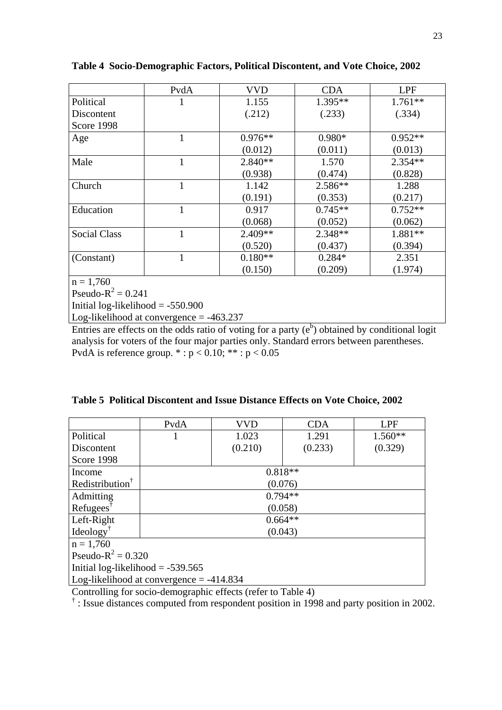|                        | PvdA         | <b>VVD</b> | <b>CDA</b> | LPF       |
|------------------------|--------------|------------|------------|-----------|
| Political              | 1            | 1.155      | 1.395**    | $1.761**$ |
| Discontent             |              | (.212)     | (.233)     | (.334)    |
| Score 1998             |              |            |            |           |
| Age                    | 1            | $0.976**$  | $0.980*$   | $0.952**$ |
|                        |              | (0.012)    | (0.011)    | (0.013)   |
| Male                   | 1            | $2.840**$  | 1.570      | $2.354**$ |
|                        |              | (0.938)    | (0.474)    | (0.828)   |
| Church                 | $\mathbf{1}$ | 1.142      | 2.586**    | 1.288     |
|                        |              | (0.191)    | (0.353)    | (0.217)   |
| Education              | $\mathbf{1}$ | 0.917      | $0.745**$  | $0.752**$ |
|                        |              | (0.068)    | (0.052)    | (0.062)   |
| <b>Social Class</b>    | 1            | 2.409**    | 2.348**    | 1.881**   |
|                        |              | (0.520)    | (0.437)    | (0.394)   |
| (Constant)             | 1            | $0.180**$  | $0.284*$   | 2.351     |
|                        |              | (0.150)    | (0.209)    | (1.974)   |
| $n = 1,760$            |              |            |            |           |
| $n = 1, n^2, 0, 0, 11$ |              |            |            |           |

**Table 4 Socio-Demographic Factors, Political Discontent, and Vote Choice, 2002** 

Pseudo- $R^2 = 0.241$ 

Initial log-likelihood = -550.900

Log-likelihood at convergence = -463.237

Entries are effects on the odds ratio of voting for a party  $(e^b)$  obtained by conditional logit analysis for voters of the four major parties only. Standard errors between parentheses. PvdA is reference group.  $* : p < 0.10; ** : p < 0.05$ 

|  |  | Table 5 Political Discontent and Issue Distance Effects on Vote Choice, 2002 |  |  |  |  |  |  |  |
|--|--|------------------------------------------------------------------------------|--|--|--|--|--|--|--|
|--|--|------------------------------------------------------------------------------|--|--|--|--|--|--|--|

|                                            | PvdA      | VVD       | <b>CDA</b> | <b>LPF</b> |  |  |
|--------------------------------------------|-----------|-----------|------------|------------|--|--|
| Political                                  |           | 1.023     | 1.291      | $1.560**$  |  |  |
| Discontent                                 |           | (0.210)   | (0.233)    | (0.329)    |  |  |
| Score 1998                                 |           |           |            |            |  |  |
| Income                                     |           | $0.818**$ |            |            |  |  |
| Redistribution <sup>†</sup>                | (0.076)   |           |            |            |  |  |
| Admitting                                  | $0.794**$ |           |            |            |  |  |
| $Refuges^{\dagger}$                        | (0.058)   |           |            |            |  |  |
| Left-Right                                 | $0.664**$ |           |            |            |  |  |
| $Ideology^{\dagger}$                       | (0.043)   |           |            |            |  |  |
| $n = 1,760$                                |           |           |            |            |  |  |
| Pseudo- $R^2 = 0.320$                      |           |           |            |            |  |  |
| Initial log-likelihood $= -539.565$        |           |           |            |            |  |  |
| Log-likelihood at convergence $= -414.834$ |           |           |            |            |  |  |

Controlling for socio-demographic effects (refer to Table 4)

<sup>†</sup>: Issue distances computed from respondent position in 1998 and party position in 2002.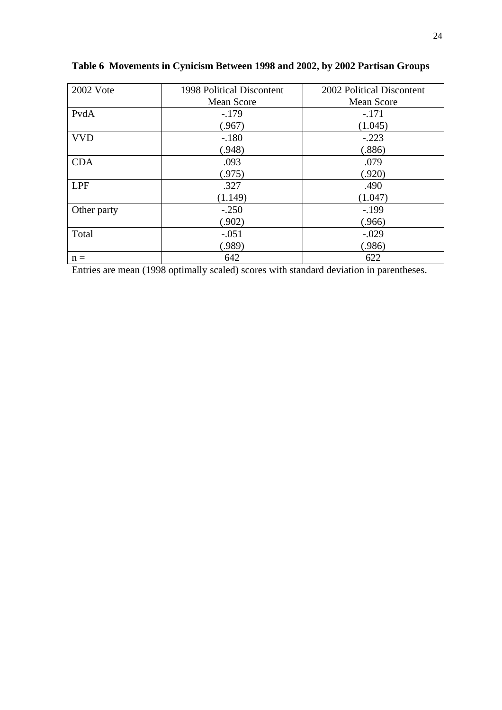| 2002 Vote   | 1998 Political Discontent | 2002 Political Discontent |
|-------------|---------------------------|---------------------------|
|             | <b>Mean Score</b>         | <b>Mean Score</b>         |
| PvdA        | $-179$                    | $-.171$                   |
|             | (.967)                    | (1.045)                   |
| <b>VVD</b>  | $-.180$                   | $-.223$                   |
|             | (.948)                    | (.886)                    |
| <b>CDA</b>  | .093                      | .079                      |
|             | (.975)                    | (.920)                    |
| <b>LPF</b>  | .327                      | .490                      |
|             | (1.149)                   | (1.047)                   |
| Other party | $-.250$                   | $-.199$                   |
|             | (.902)                    | (.966)                    |
| Total       | $-.051$                   | $-.029$                   |
|             | (.989)                    | (.986)                    |
| $n =$       | 642                       | 622                       |

**Table 6 Movements in Cynicism Between 1998 and 2002, by 2002 Partisan Groups**

Entries are mean (1998 optimally scaled) scores with standard deviation in parentheses.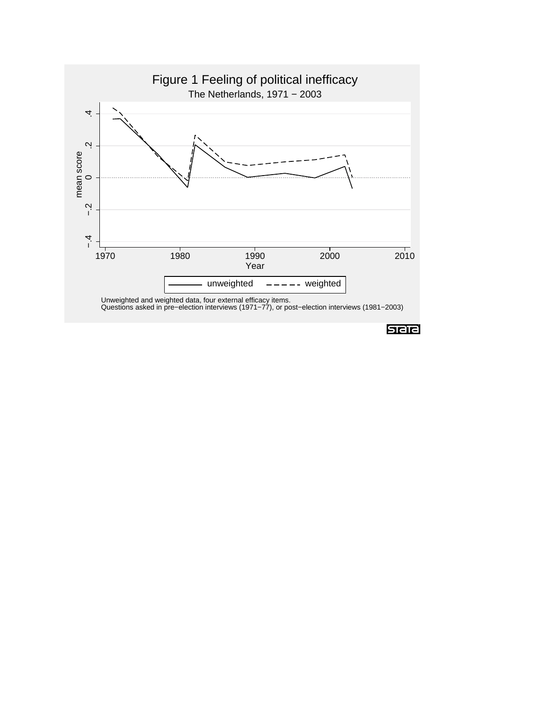

stata